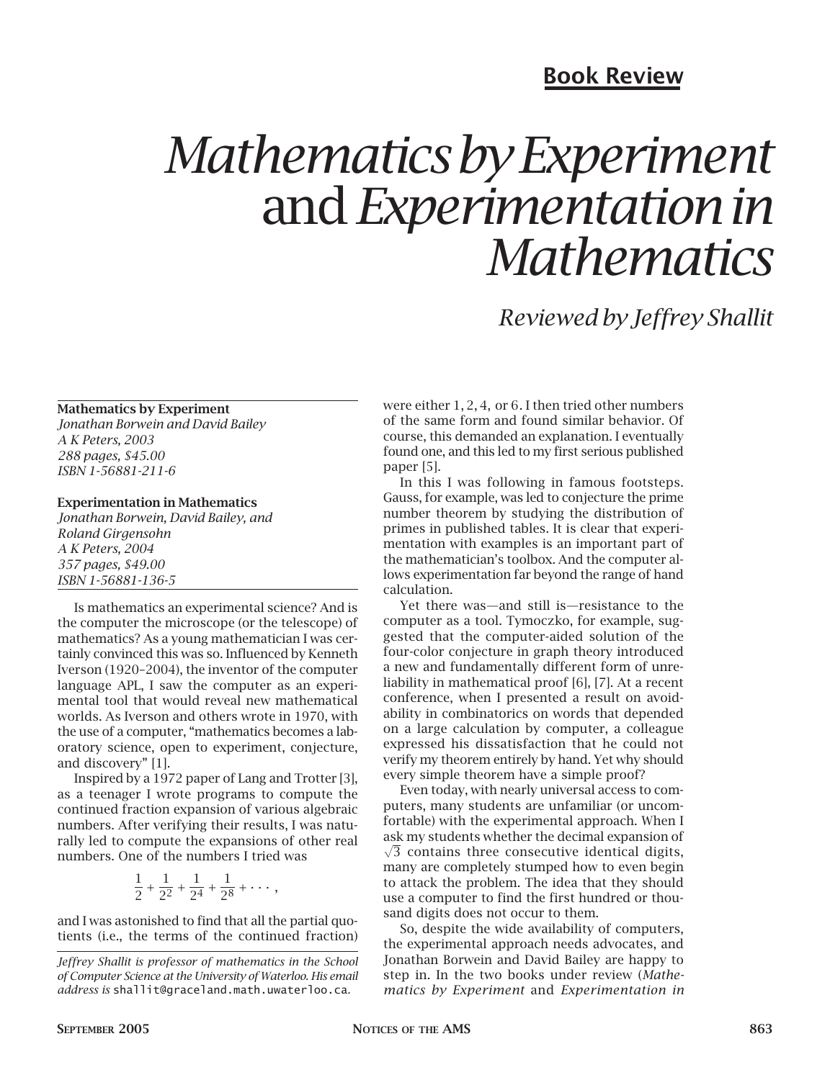# **Book Review**

# *Mathematics by Experiment* and *Experimentation in Mathematics*

*Reviewed by Jeffrey Shallit*

## **Mathematics by Experiment**

*Jonathan Borwein and David Bailey A K Peters, 2003 288 pages, \$45.00 ISBN 1-56881-211-6*

### **Experimentation in Mathematics**

*Jonathan Borwein, David Bailey, and Roland Girgensohn A K Peters, 2004 357 pages, \$49.00 ISBN 1-56881-136-5*

Is mathematics an experimental science? And is the computer the microscope (or the telescope) of mathematics? As a young mathematician I was certainly convinced this was so. Influenced by Kenneth Iverson (1920–2004), the inventor of the computer language APL, I saw the computer as an experimental tool that would reveal new mathematical worlds. As Iverson and others wrote in 1970, with the use of a computer, "mathematics becomes a laboratory science, open to experiment, conjecture, and discovery" [1].

Inspired by a 1972 paper of Lang and Trotter [3], as a teenager I wrote programs to compute the continued fraction expansion of various algebraic numbers. After verifying their results, I was naturally led to compute the expansions of other real numbers. One of the numbers I tried was

$$
\frac{1}{2} + \frac{1}{2^2} + \frac{1}{2^4} + \frac{1}{2^8} + \cdots,
$$

and I was astonished to find that all the partial quotients (i.e., the terms of the continued fraction) were either 1*,* 2*,* 4*,* or 6. I then tried other numbers of the same form and found similar behavior. Of course, this demanded an explanation. I eventually found one, and this led to my first serious published paper [5].

In this I was following in famous footsteps. Gauss, for example, was led to conjecture the prime number theorem by studying the distribution of primes in published tables. It is clear that experimentation with examples is an important part of the mathematician's toolbox. And the computer allows experimentation far beyond the range of hand calculation.

Yet there was—and still is—resistance to the computer as a tool. Tymoczko, for example, suggested that the computer-aided solution of the four-color conjecture in graph theory introduced a new and fundamentally different form of unreliability in mathematical proof [6], [7]. At a recent conference, when I presented a result on avoidability in combinatorics on words that depended on a large calculation by computer, a colleague expressed his dissatisfaction that he could not verify my theorem entirely by hand. Yet why should every simple theorem have a simple proof?

Even today, with nearly universal access to computers, many students are unfamiliar (or uncomfortable) with the experimental approach. When I  $\sqrt{3}$  contains three consecutive identical digits, ask my students whether the decimal expansion of many are completely stumped how to even begin to attack the problem. The idea that they should use a computer to find the first hundred or thousand digits does not occur to them.

So, despite the wide availability of computers. the experimental approach needs advocates, and Jonathan Borwein and David Bailey are happy to step in. In the two books under review (*Mathematics by Experiment* and *Experimentation in*

*Jeffrey Shallit is professor of mathematics in the School of Computer Science at the University of Waterloo. His email address is* shallit@graceland.math.uwaterloo.ca*.*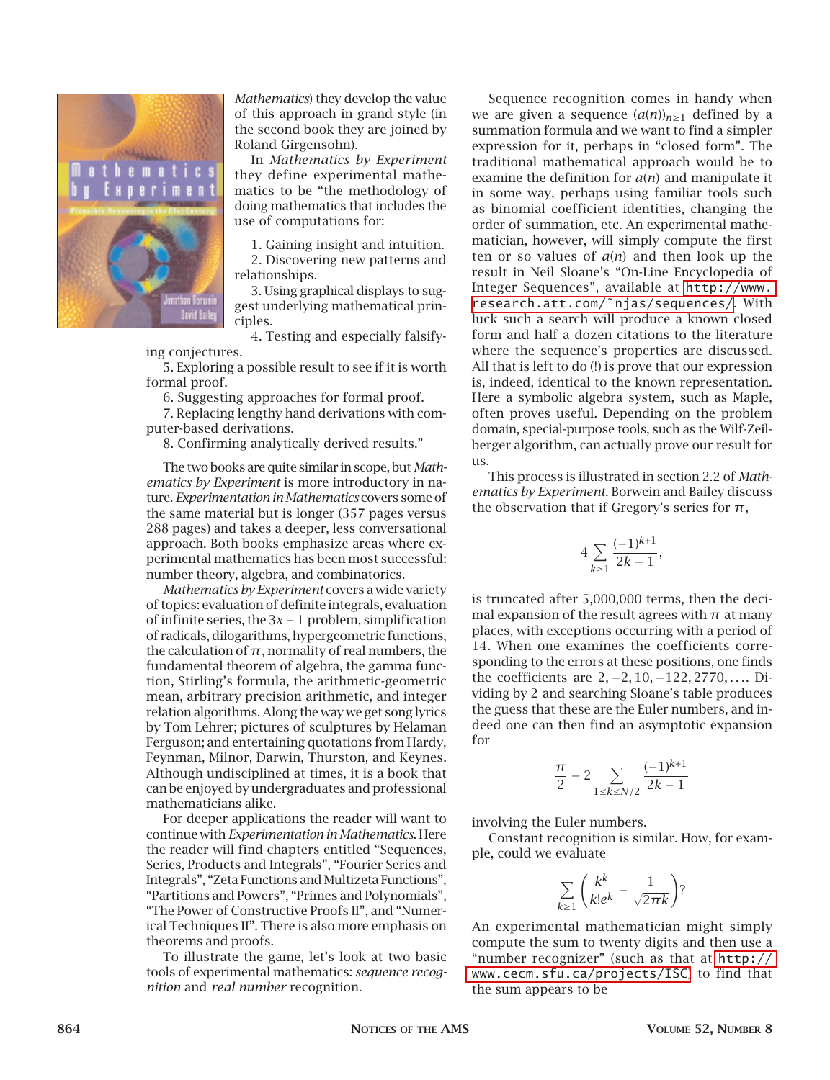

*Mathematics*) they develop the value of this approach in grand style (in the second book they are joined by Roland Girgensohn).

In *Mathematics by Experiment* they define experimental mathematics to be "the methodology of doing mathematics that includes the use of computations for:

1. Gaining insight and intuition. 2. Discovering new patterns and relationships.

3. Using graphical displays to suggest underlying mathematical principles.

4. Testing and especially falsify-

ing conjectures.

5. Exploring a possible result to see if it is worth formal proof.

6. Suggesting approaches for formal proof.

7. Replacing lengthy hand derivations with computer-based derivations.

8. Confirming analytically derived results."

The two books are quite similar in scope, but *Mathematics by Experiment* is more introductory in nature. *Experimentation in Mathematics* covers some of the same material but is longer (357 pages versus 288 pages) and takes a deeper, less conversational approach. Both books emphasize areas where experimental mathematics has been most successful: number theory, algebra, and combinatorics.

*Mathematics by Experiment* covers a wide variety of topics: evaluation of definite integrals, evaluation of infinite series, the 3*x* + 1 problem, simplification of radicals, dilogarithms, hypergeometric functions, the calculation of  $\pi$ , normality of real numbers, the fundamental theorem of algebra, the gamma function, Stirling's formula, the arithmetic-geometric mean, arbitrary precision arithmetic, and integer relation algorithms. Along the way we get song lyrics by Tom Lehrer; pictures of sculptures by Helaman Ferguson; and entertaining quotations from Hardy, Feynman, Milnor, Darwin, Thurston, and Keynes. Although undisciplined at times, it is a book that can be enjoyed by undergraduates and professional mathematicians alike.

For deeper applications the reader will want to continue with *Experimentation in Mathematics*. Here the reader will find chapters entitled "Sequences, Series, Products and Integrals", "Fourier Series and Integrals", "Zeta Functions and Multizeta Functions", "Partitions and Powers", "Primes and Polynomials", "The Power of Constructive Proofs II", and "Numerical Techniques II". There is also more emphasis on theorems and proofs.

To illustrate the game, let's look at two basic tools of experimental mathematics: *sequence recognition* and *real number* recognition.

Sequence recognition comes in handy when we are given a sequence  $(a(n))_{n\geq 1}$  defined by a summation formula and we want to find a simpler expression for it, perhaps in "closed form". The traditional mathematical approach would be to examine the definition for *a*(*n*) and manipulate it in some way, perhaps using familiar tools such as binomial coefficient identities, changing the order of summation, etc. An experimental mathematician, however, will simply compute the first ten or so values of *a*(*n*) and then look up the result in Neil Sloane's "On-Line Encyclopedia of Integer Sequences", available at [http://www.](http://www.research.att.com/~njas/sequences/) [research.att.com/](http://www.research.att.com/~njas/sequences/)˜njas/sequences/. With luck such a search will produce a known closed form and half a dozen citations to the literature where the sequence's properties are discussed. All that is left to do (!) is prove that our expression is, indeed, identical to the known representation. Here a symbolic algebra system, such as Maple, often proves useful. Depending on the problem domain, special-purpose tools, such as the Wilf-Zeilberger algorithm, can actually prove our result for us.

This process is illustrated in section 2.2 of *Mathematics by Experiment*. Borwein and Bailey discuss the observation that if Gregory's series for  $\pi$ ,

$$
4\sum_{k\geq 1}\frac{(-1)^{k+1}}{2k-1},
$$

is truncated after 5,000,000 terms, then the decimal expansion of the result agrees with  $\pi$  at many places, with exceptions occurring with a period of 14. When one examines the coefficients corresponding to the errors at these positions, one finds the coefficients are 2*,* −2*,* 10*,* −122*,* 2770*,...*. Dividing by 2 and searching Sloane's table produces the guess that these are the Euler numbers, and indeed one can then find an asymptotic expansion for

$$
\frac{\pi}{2}-2\sum_{1\le k\le N/2}\frac{(-1)^{k+1}}{2k-1}
$$

involving the Euler numbers.

Constant recognition is similar. How, for example, could we evaluate

$$
\sum_{k\geq 1}\left(\frac{k^k}{k!e^k}-\frac{1}{\sqrt{2\pi k}}\right)?
$$

An experimental mathematician might simply compute the sum to twenty digits and then use a "number recognizer" (such as that at [http://](http://www.cecm.sfu.ca/projects/ISC) [www.cecm.sfu.ca/projects/ISC](http://www.cecm.sfu.ca/projects/ISC)) to find that the sum appears to be